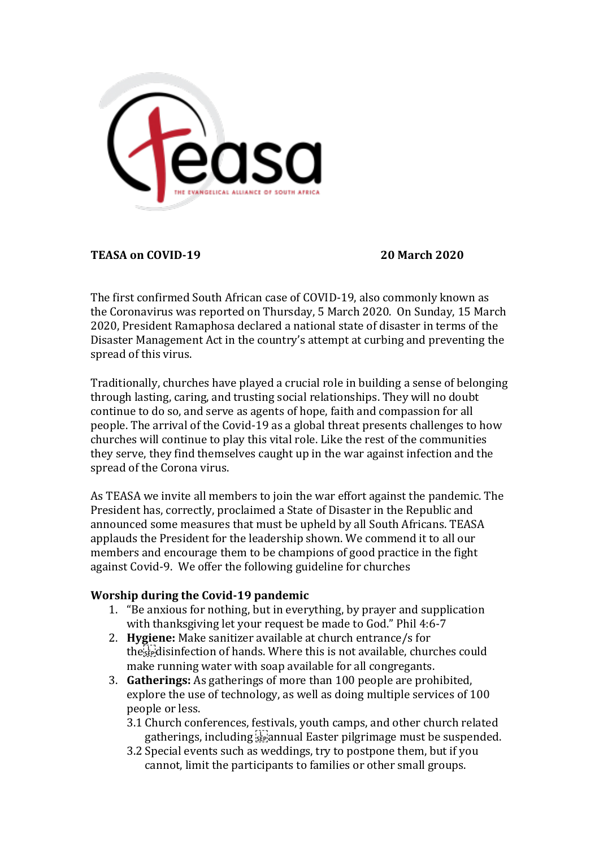

**TEASA on COVID-19 20 March 2020**

The first confirmed South African case of COVID-19, also commonly known as the Coronavirus was reported on Thursday, 5 March 2020. On Sunday, 15 March 2020, President Ramaphosa declared a national state of disaster in terms of the Disaster Management Act in the country's attempt at curbing and preventing the spread of this virus.

Traditionally, churches have played a crucial role in building a sense of belonging through lasting, caring, and trusting social relationships. They will no doubt continue to do so, and serve as agents of hope, faith and compassion for all people. The arrival of the Covid-19 as a global threat presents challenges to how churches will continue to play this vital role. Like the rest of the communities they serve, they find themselves caught up in the war against infection and the spread of the Corona virus.

As TEASA we invite all members to join the war effort against the pandemic. The President has, correctly, proclaimed a State of Disaster in the Republic and announced some measures that must be upheld by all South Africans. TEASA applauds the President for the leadership shown. We commend it to all our members and encourage them to be champions of good practice in the fight against Covid-9. We offer the following guideline for churches

## **Worship during the Covid-19 pandemic**

- 1. "Be anxious for nothing, but in everything, by prayer and supplication with thanksgiving let your request be made to God." Phil 4:6-7
- 2. **Hygiene:** Make sanitizer available at church entrance/s for the disinfection of hands. Where this is not available, churches could make running water with soap available for all congregants.
- 3. **Gatherings:** As gatherings of more than 100 people are prohibited, explore the use of technology, as well as doing multiple services of 100 people or less.
	- 3.1 Church conferences, festivals, youth camps, and other church related gatherings, including  $\frac{1}{2}$  annual Easter pilgrimage must be suspended.
	- 3.2 Special events such as weddings, try to postpone them, but if you cannot, limit the participants to families or other small groups.